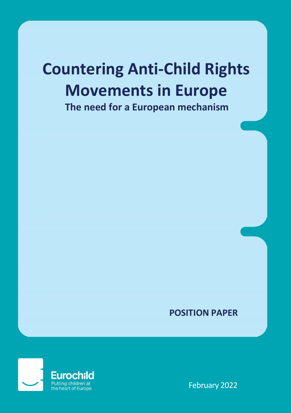# **Countering Anti-Child Rights Movements in Europe**

**The need for a European mechanism**

### **POSITION PAPER**

1



February 2022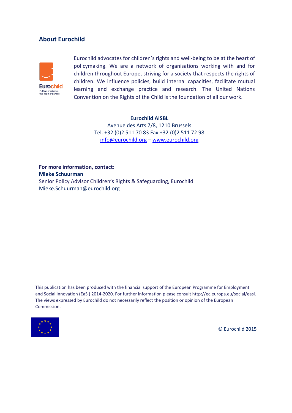#### **About Eurochild**



Eurochild advocates for children's rights and well-being to be at the heart of policymaking. We are a network of organisations working with and for children throughout Europe, striving for a society that respects the rights of children. We influence policies, build internal capacities, facilitate mutual learning and exchange practice and research. The United Nations Convention on the Rights of the Child is the foundation of all our work.

#### **Eurochild AISBL**

Avenue des Arts 7/8, 1210 Brussels Tel. +32 (0)2 511 70 83 Fax +32 (0)2 511 72 98 [info@eurochild.org](mailto:info@eurochild.org) – [www.eurochild.org](file://///eurochild-srv3/public/Admin/06.%20POLICY%20DEVELOPMENT/07.%20EU%20Institutions%20-%20lobbying/Commission/2014-2019/Investment%20Plan/Eurochild_position/www.eurochild.org)

**For more information, contact: Mieke Schuurman** Senior Policy Advisor Children's Rights & Safeguarding, Eurochild Mieke.Schuurman@eurochild.org

This publication has been produced with the financial support of the European Programme for Employment and Social Innovation (EaSI) 2014-2020. For further information please consult http://ec.europa.eu/social/easi. The views expressed by Eurochild do not necessarily reflect the position or opinion of the European Commission.



© Eurochild 2015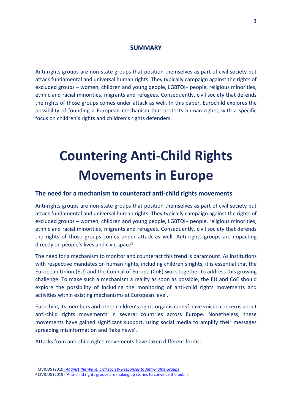#### **SUMMARY**

Anti-rights groups are non-state groups that position themselves as part of civil society but attack fundamental and universal human rights. They typically campaign against the rights of excluded groups – women, children and young people, LGBTQI+ people, religious minorities, ethnic and racial minorities, migrants and refugees. Consequently, civil society that defends the rights of those groups comes under attack as well. In this paper, Eurochild explores the possibility of founding a European mechanism that protects human rights, with a specific focus on children's rights and children's rights defenders.

### **Countering Anti-Child Rights Movements in Europe**

#### **The need for a mechanism to counteract anti-child rights movements**

Anti-rights groups are non-state groups that position themselves as part of civil society but attack fundamental and universal human rights. They typically campaign against the rights of excluded groups – women, children and young people, LGBTQI+ people, religious minorities, ethnic and racial minorities, migrants and refugees. Consequently, civil society that defends the rights of those groups comes under attack as well. Anti-rights groups are impacting directly on people's lives and civic space<sup>1</sup>.

The need for a mechanism to monitor and counteract this trend is paramount. As institutions with respective mandates on human rights, including children's rights, it is essential that the European Union (EU) and the Council of Europe (CoE) work together to address this growing challenge. To make such a mechanism a reality as soon as possible, the EU and CoE should explore the possibility of including the monitoring of anti-child rights movements and activities within existing mechanisms at European level.

Eurochild, its members and other children's rights organisations<sup>2</sup> have voiced concerns about anti-child rights movements in several countries across Europe. Nonetheless, these movements have gained significant support, using social media to amplify their messages spreading misinformation and 'fake news'.

Attacks from anti-child rights movements have taken different forms:

<sup>1</sup> CIVICUS (2019) *[Against the Wave. Civil society Responses to Anti-Rights Groups](https://www.civicus.org/documents/reports-and-publications/action-against-the-anti-rights-wave/AgainstTheWave_Full_en.pdf)*

<sup>&</sup>lt;sup>2</sup> CIVICUS (2019) 'Anti-[child rights groups are making up stories to convince the public'](https://www.civicus.org/index.php/media-resources/news/interviews/4157-child-rights-anti-child-rights-groups-are-making-up-stories-to-convince-the-public)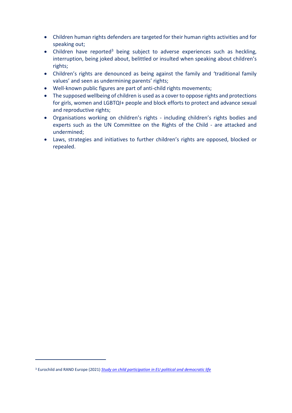- Children human rights defenders are targeted for their human rights activities and for speaking out;
- Children have reported<sup>3</sup> being subject to adverse experiences such as heckling, interruption, being joked about, belittled or insulted when speaking about children's rights;
- Children's rights are denounced as being against the family and 'traditional family values' and seen as undermining parents' rights;
- Well-known public figures are part of anti-child rights movements;
- The supposed wellbeing of children is used as a cover to oppose rights and protections for girls, women and LGBTQI+ people and block efforts to protect and advance sexual and reproductive rights;
- Organisations working on children's rights including children's rights bodies and experts such as the UN Committee on the Rights of the Child - are attacked and undermined;
- Laws, strategies and initiatives to further children's rights are opposed, blocked or repealed.

<sup>3</sup> Eurochild and RAND Europe (2021) *[Study on child participation in EU political and democratic life](https://ec.europa.eu/info/sites/default/files/child_participation_final_raport_revised_28.04.2021_final_web_pdf.pdf)*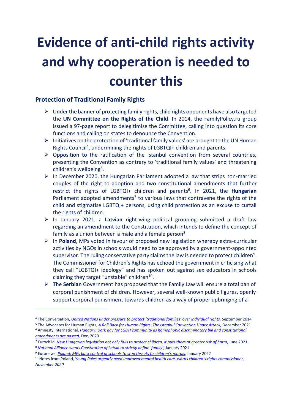## **Evidence of anti-child rights activity and why cooperation is needed to counter this**

### **Protection of Traditional Family Rights**

- $\triangleright$  Under the banner of protecting family rights, child rights opponents have also targeted the **UN Committee on the Rights of the Child**. In 2014, the FamilyPolicy.ru group issued a 97-page report to delegitimise the Committee, calling into question its core functions and calling on states to denounce the Convention.
- $\triangleright$  Initiatives on the protection of 'traditional family values' are brought to the UN Human Rights Council<sup>4</sup>, undermining the rights of LGBTQI+ children and parents.
- $\triangleright$  Opposition to the ratification of the Istanbul convention from several countries, presenting the Convention as contrary to 'traditional family values' and threatening children's wellbeing<sup>5</sup>.
- $\triangleright$  In December 2020, the Hungarian Parliament adopted a law that strips non-married couples of the right to adoption and two constitutional amendments that further restrict the rights of LGBTQI+ children and parents<sup>6</sup>. In 2021, the Hungarian Parliament adopted amendments<sup>7</sup> to various laws that contravene the rights of the child and stigmatise LGBTQI+ persons, using child protection as an excuse to curtail the rights of children.
- In January 2021, a **Latvian** right-wing political grouping submitted a draft law regarding an amendment to the Constitution, which intends to define the concept of family as a union between a male and a female person<sup>8</sup>.
- In **Poland**, MPs voted in favour of proposed new legislation whereby extra-curricular activities by NGOs in schools would need to be approved by a government-appointed supervisor. The ruling conservative party claims the law is needed to protect children<sup>9</sup>. The Commissioner for Children's Rights has echoed the government in criticising what they call "LGBTQI+ ideology" and has spoken out against sex educators in schools claiming they target "unstable" children<sup>10</sup>.
- The **Serbian** Government has proposed that the Family Law will ensure a total ban of corporal punishment of children. However, several well-known public figures, openly support corporal punishment towards children as a way of proper upbringing of a

1

<sup>4</sup> The Conversation, *United Nations under pressure to protect ['traditional](https://theconversation.com/united-nations-under-pressure-to-protect-traditional-families-over-individual-rights-31757) families' over individual rights,* September 2014

<sup>5</sup> The Advocates for Human Rights, *[A Roll Back for Human Rights: The Istanbul Convention Under Attack,](https://www.theadvocatesforhumanrights.org/News/Index?id=258)* December 2021 <sup>6</sup> Amnesty International, *[Hungary: Dark day for LGBTI community as homophobic discriminatory bill and constitutional](https://www.amnesty.org/en/latest/news/2020/12/hungary-dark-day-for-lgbti-community-as-homop)  [amendments are passed,](https://www.amnesty.org/en/latest/news/2020/12/hungary-dark-day-for-lgbti-community-as-homop)* Dec. 2020

<sup>7</sup> Eurochild, *[New Hungarian legislation not only fails to protect children, it puts them at greater risk of harm,](https://www.eurochild.org/news/new-hungarian-legislation-not-only-fails-to-protect-children-it-puts-them-at-greater-risk-of-harm/)* June 2021 <sup>8</sup> *[National Alliance wants Constitution of Latvia to strictly define 'family'](https://eng.lsm.lv/article/politics/saeima/national-alliance-wants-constitution-of-latvia-to-strictly-define-family.a388009/)*, January 2021

<sup>9</sup> Euronews, *[Poland: MPs back control of schools to stop threats to children's morals](https://www.euronews.com/2022/01/14/poland-mps-back-control-of-schools-to-stop-threats-to-children-s-morals)*, January 2022

<sup>10</sup> Notes f**r**om Poland, *Y[oung Poles urgently need improved mental health care, warns children's rights commissioner](https://notesfrompoland.com/2020/11/27/young-poles-urgently-need-improved-mental-health-care-warns-childrens-rights-commissioner/), November 2020*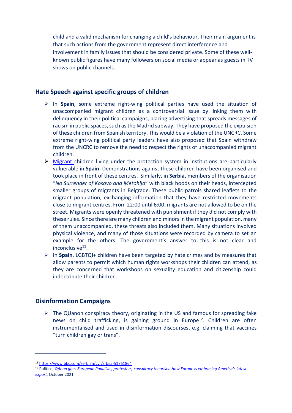child and a valid mechanism for changing a child's behaviour. Their main argument is that such actions from the government represent direct interference and involvement in family issues that should be considered private. Some of these wellknown public figures have many followers on social media or appear as guests in TV shows on public channels.

### **Hate Speech against specific groups of children**

- In **Spain**, some extreme right-wing political parties have used the situation of unaccompanied migrant children as a controversial issue by linking them with delinquency in their political campaigns, placing advertising that spreads messages of racism in public spaces, such as the Madrid subway. They have proposed the expulsion of these children from Spanish territory. This would be a violation of the UNCRC. Some extreme right-wing political party leaders have also proposed that Spain withdraw from the UNCRC to remove the need to respect the rights of unaccompanied migrant children.
- $\triangleright$  Migrant children living under the protection system in institutions are particularly vulnerable in **Spain**. Demonstrations against these children have been organised and took place in front of these centres. Similarly, in **Serbia,** members of the organisation "*No Surrender of Kosovo and Metohija*" with black hoods on their heads, intercepted smaller groups of migrants in Belgrade. These public patrols shared leaflets to the migrant population, exchanging information that they have restricted movements close to migrant centres. From 22:00 until 6:00, migrants are not allowed to be on the street. Migrants were openly threatened with punishment if they did not comply with these rules. Since there are many children and minors in the migrant population, many of them unaccompanied, these threats also included them. Many situations involved physical violence, and many of those situations were recorded by camera to set an example for the others. The government's answer to this is not clear and inconclusive<sup>11</sup>.
- In **Spain**, LGBTQI+ children have been targeted by hate crimes and by measures that allow parents to permit which human rights workshops their children can attend, as they are concerned that workshops on sexuality education and citizenship could indoctrinate their children.

### **Disinformation Campaigns**

.

 $\triangleright$  The QUanon conspiracy theory, originating in the US and famous for spreading fake news on child trafficking, is gaining ground in Europe<sup>12</sup>. Children are often instrumentalised and used in disinformation discourses, e.g. claiming that vaccines "turn children gay or trans".

<sup>11</sup> <https://www.bbc.com/serbian/cyr/srbija-51761864>

<sup>12</sup> Politico, *QAnon [goes European Populists, protesters, conspiracy theorists: How Europe is embracing America's latest](https://www.politico.eu/article/qanon-europe-coronavirus-protests/)  [export](https://www.politico.eu/article/qanon-europe-coronavirus-protests/),* October 2021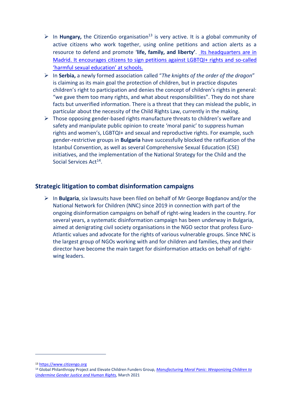- $\triangleright$  In **Hungary,** the CitizenGo organisation<sup>13</sup> is very active. It is a global community of active citizens who work together, using online petitions and action alerts as a resource to defend and promote '**life, family, and liberty'**. Its headquarters are in Madrid. It encourages citizens to sign petitions against LGBTQI+ rights and so-called 'harmful sexual education' at schools.
- In **Serbia,** a newly formed association called "*The knights of the order of the dragon*" is claiming as its main goal the protection of children, but in practice disputes children's right to participation and denies the concept of children's rights in general: "we gave them too many rights, and what about responsibilities". They do not share facts but unverified information. There is a threat that they can mislead the public, in particular about the necessity of the Child Rights Law, currently in the making.
- $\triangleright$  Those opposing gender-based rights manufacture threats to children's welfare and safety and manipulate public opinion to create 'moral panic' to suppress human rights and women's, LGBTQI+ and sexual and reproductive rights. For example, such gender-restrictive groups in **Bulgaria** have successfully blocked the ratification of the Istanbul Convention, as well as several Comprehensive Sexual Education (CSE) initiatives, and the implementation of the National Strategy for the Child and the Social Services Act<sup>14</sup>.

### **Strategic litigation to combat disinformation campaigns**

 In **Bulgaria**, six lawsuits have been filed on behalf of Mr George Bogdanov and/or the National Network for Children (NNC) since 2019 in connection with part of the ongoing disinformation campaigns on behalf of right-wing leaders in the country. For several years, a systematic disinformation campaign has been underway in Bulgaria, aimed at denigrating civil society organisations in the NGO sector that profess Euro-Atlantic values and advocate for the rights of various vulnerable groups. Since NNC is the largest group of NGOs working with and for children and families, they and their director have become the main target for disinformation attacks on behalf of rightwing leaders.

<sup>13</sup> [https://www.citizengo.org](https://www.citizengo.org/)

<sup>14</sup> Global Philanthropy Project and Elevate Children Funders Group, *Manufacturing [Moral Panic: Weaponizing Children to](https://globalphilanthropyproject.org/2021/03/24/manufacturing-moral-panic/)  [Undermine Gender Justice and Human Rights,](https://globalphilanthropyproject.org/2021/03/24/manufacturing-moral-panic/)* March 2021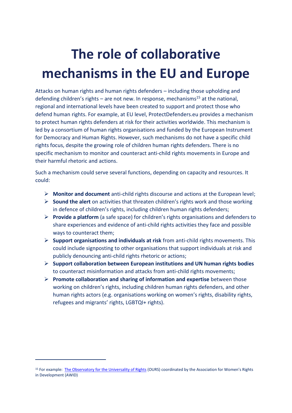### **The role of collaborative mechanisms in the EU and Europe**

Attacks on human rights and human rights defenders – including those upholding and defending children's rights – are not new. In response, mechanisms<sup>15</sup> at the national, regional and international levels have been created to support and protect those who defend human rights. For example, at EU level, ProtectDefenders.eu provides a mechanism to protect human rights defenders at risk for their activities worldwide. This mechanism is led by a consortium of human rights organisations and funded by the European Instrument for Democracy and Human Rights. However, such mechanisms do not have a specific child rights focus, despite the growing role of children human rights defenders. There is no specific mechanism to monitor and counteract anti-child rights movements in Europe and their harmful rhetoric and actions.

Such a mechanism could serve several functions, depending on capacity and resources. It could:

- **Monitor and document** anti-child rights discourse and actions at the European level;
- **Sound the alert** on activities that threaten children's rights work and those working in defence of children's rights, including children human rights defenders;
- **Provide a platform** (a safe space) for children's rights organisations and defenders to share experiences and evidence of anti-child rights activities they face and possible ways to counteract them;
- **Support organisations and individuals at risk** from anti-child rights movements. This could include signposting to other organisations that support individuals at risk and publicly denouncing anti-child rights rhetoric or actions;
- **Support collaboration between European institutions and UN human rights bodies** to counteract misinformation and attacks from anti-child rights movements;
- **Promote collaboration and sharing of information and expertise** between those working on children's rights, including children human rights defenders, and other human rights actors (e.g. organisations working on women's rights, disability rights, refugees and migrants' rights, LGBTQI+ rights).

<sup>15</sup> For example: [The Observatory for the Universality of Rights](https://www.oursplatform.org/the-project/) (OURS) coordinated by the Association for Women's Rights in Development (AWID)